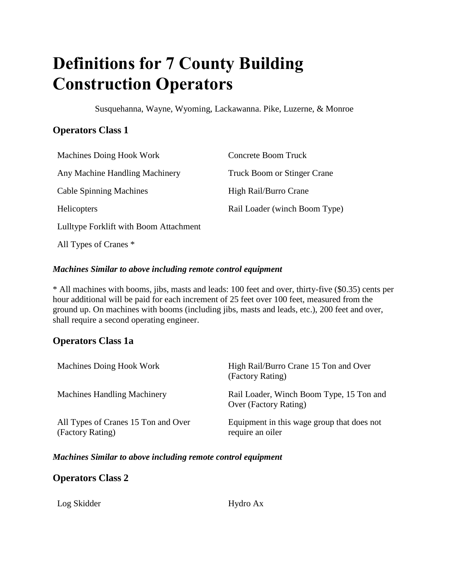# **Definitions for 7 County Building Construction Operators**

Susquehanna, Wayne, Wyoming, Lackawanna. Pike, Luzerne, & Monroe

# **Operators Class 1**

| <b>Machines Doing Hook Work</b>        | <b>Concrete Boom Truck</b>    |
|----------------------------------------|-------------------------------|
| Any Machine Handling Machinery         | Truck Boom or Stinger Crane   |
| <b>Cable Spinning Machines</b>         | High Rail/Burro Crane         |
| <b>Helicopters</b>                     | Rail Loader (winch Boom Type) |
| Lulltype Forklift with Boom Attachment |                               |
|                                        |                               |

All Types of Cranes \*

### *Machines Similar to above including remote control equipment*

\* All machines with booms, jibs, masts and leads: 100 feet and over, thirty-five (\$0.35) cents per hour additional will be paid for each increment of 25 feet over 100 feet, measured from the ground up. On machines with booms (including jibs, masts and leads, etc.), 200 feet and over, shall require a second operating engineer.

### **Operators Class 1a**

| Machines Doing Hook Work                                | High Rail/Burro Crane 15 Ton and Over<br>(Factory Rating)         |
|---------------------------------------------------------|-------------------------------------------------------------------|
| <b>Machines Handling Machinery</b>                      | Rail Loader, Winch Boom Type, 15 Ton and<br>Over (Factory Rating) |
| All Types of Cranes 15 Ton and Over<br>(Factory Rating) | Equipment in this wage group that does not<br>require an oiler    |

#### *Machines Similar to above including remote control equipment*

### **Operators Class 2**

| Log Skidder | Hydro Ax |
|-------------|----------|
|-------------|----------|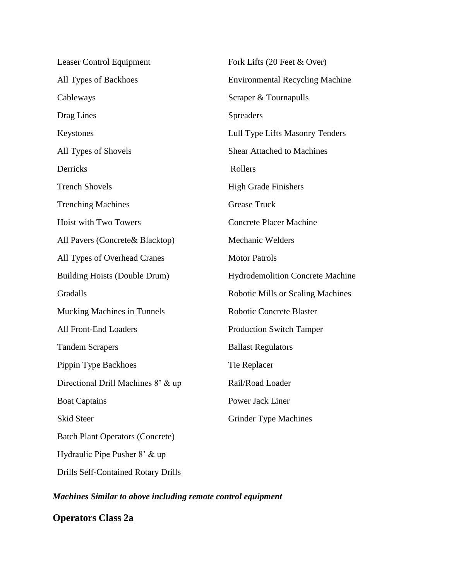| Leaser Control Equipment                | Fork Lifts (20 Feet & Over)              |
|-----------------------------------------|------------------------------------------|
| All Types of Backhoes                   | <b>Environmental Recycling Machine</b>   |
| Cableways                               | Scraper & Tournapulls                    |
| Drag Lines                              | <b>Spreaders</b>                         |
| Keystones                               | Lull Type Lifts Masonry Tenders          |
| All Types of Shovels                    | <b>Shear Attached to Machines</b>        |
| Derricks                                | Rollers                                  |
| <b>Trench Shovels</b>                   | <b>High Grade Finishers</b>              |
| <b>Trenching Machines</b>               | <b>Grease Truck</b>                      |
| Hoist with Two Towers                   | <b>Concrete Placer Machine</b>           |
| All Pavers (Concrete & Blacktop)        | <b>Mechanic Welders</b>                  |
| All Types of Overhead Cranes            | <b>Motor Patrols</b>                     |
| <b>Building Hoists (Double Drum)</b>    | <b>Hydrodemolition Concrete Machine</b>  |
| Gradalls                                | <b>Robotic Mills or Scaling Machines</b> |
| Mucking Machines in Tunnels             | <b>Robotic Concrete Blaster</b>          |
| All Front-End Loaders                   | <b>Production Switch Tamper</b>          |
| <b>Tandem Scrapers</b>                  | <b>Ballast Regulators</b>                |
| Pippin Type Backhoes                    | Tie Replacer                             |
| Directional Drill Machines 8' & up      | Rail/Road Loader                         |
| <b>Boat Captains</b>                    | Power Jack Liner                         |
| <b>Skid Steer</b>                       | <b>Grinder Type Machines</b>             |
| <b>Batch Plant Operators (Concrete)</b> |                                          |
| Hydraulic Pipe Pusher 8' & up           |                                          |
| Drills Self-Contained Rotary Drills     |                                          |

**Operators Class 2a**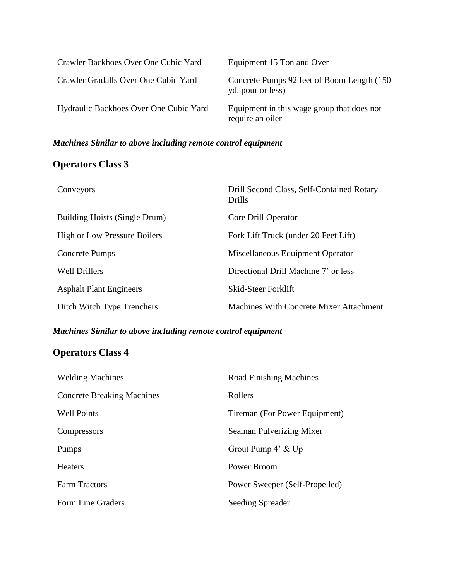| Crawler Backhoes Over One Cubic Yard   | Equipment 15 Ton and Over                                        |
|----------------------------------------|------------------------------------------------------------------|
| Crawler Gradalls Over One Cubic Yard   | Concrete Pumps 92 feet of Boom Length (150)<br>yd. pour or less) |
| Hydraulic Backhoes Over One Cubic Yard | Equipment in this wage group that does not<br>require an oiler   |

# **Operators Class 3**

| Conveyors                           | Drill Second Class, Self-Contained Rotary<br><b>Drills</b> |
|-------------------------------------|------------------------------------------------------------|
| Building Hoists (Single Drum)       | Core Drill Operator                                        |
| <b>High or Low Pressure Boilers</b> | Fork Lift Truck (under 20 Feet Lift)                       |
| <b>Concrete Pumps</b>               | Miscellaneous Equipment Operator                           |
| <b>Well Drillers</b>                | Directional Drill Machine 7' or less                       |
| <b>Asphalt Plant Engineers</b>      | Skid-Steer Forklift                                        |
| Ditch Witch Type Trenchers          | Machines With Concrete Mixer Attachment                    |

### *Machines Similar to above including remote control equipment*

# **Operators Class 4**

| <b>Welding Machines</b>           | Road Finishing Machines        |
|-----------------------------------|--------------------------------|
| <b>Concrete Breaking Machines</b> | Rollers                        |
| <b>Well Points</b>                | Tireman (For Power Equipment)  |
| Compressors                       | Seaman Pulverizing Mixer       |
| Pumps                             | Grout Pump 4' & Up             |
| <b>Heaters</b>                    | Power Broom                    |
| <b>Farm Tractors</b>              | Power Sweeper (Self-Propelled) |
| Form Line Graders                 | <b>Seeding Spreader</b>        |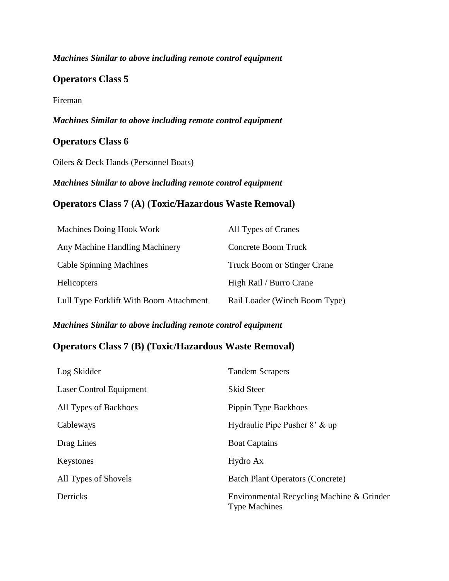### **Operators Class 5**

#### Fireman

*Machines Similar to above including remote control equipment*

### **Operators Class 6**

Oilers & Deck Hands (Personnel Boats)

*Machines Similar to above including remote control equipment*

## **Operators Class 7 (A) (Toxic/Hazardous Waste Removal)**

| Machines Doing Hook Work                | All Types of Cranes                |
|-----------------------------------------|------------------------------------|
| Any Machine Handling Machinery          | Concrete Boom Truck                |
| <b>Cable Spinning Machines</b>          | <b>Truck Boom or Stinger Crane</b> |
| <b>Helicopters</b>                      | High Rail / Burro Crane            |
| Lull Type Forklift With Boom Attachment | Rail Loader (Winch Boom Type)      |

### *Machines Similar to above including remote control equipment*

### **Operators Class 7 (B) (Toxic/Hazardous Waste Removal)**

| Log Skidder             | <b>Tandem Scrapers</b>                                            |
|-------------------------|-------------------------------------------------------------------|
| Laser Control Equipment | <b>Skid Steer</b>                                                 |
| All Types of Backhoes   | Pippin Type Backhoes                                              |
| Cableways               | Hydraulic Pipe Pusher 8' & up                                     |
| Drag Lines              | <b>Boat Captains</b>                                              |
| Keystones               | Hydro Ax                                                          |
| All Types of Shovels    | <b>Batch Plant Operators (Concrete)</b>                           |
| Derricks                | Environmental Recycling Machine & Grinder<br><b>Type Machines</b> |